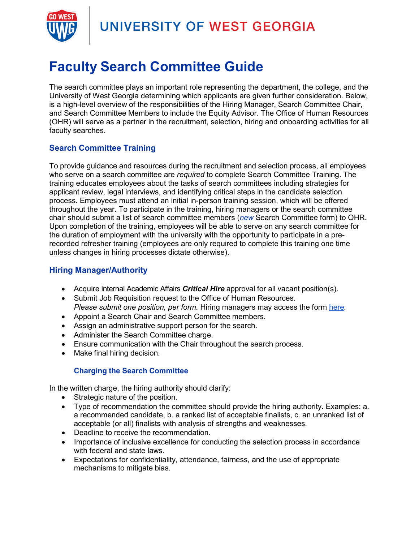

## UNIVERSITY OF WEST GEORGIA

# **Faculty Search Committee Guide**

The search committee plays an important role representing the department, the college, and the University of West Georgia determining which applicants are given further consideration. Below, is a high-level overview of the responsibilities of the Hiring Manager, Search Committee Chair, and Search Committee Members to include the Equity Advisor. The Office of Human Resources (OHR) will serve as a partner in the recruitment, selection, hiring and onboarding activities for all faculty searches.

### **Search Committee Training**

To provide guidance and resources during the recruitment and selection process, all employees who serve on a search committee are *required* to complete Search Committee Training. The training educates employees about the tasks of search committees including strategies for applicant review, legal interviews, and identifying critical steps in the candidate selection process. Employees must attend an initial in-person training session, which will be offered throughout the year. To participate in the training, hiring managers or the search committee chair should submit a list of search committee members (*new* Search Committee form) to OHR. Upon completion of the training, employees will be able to serve on any search committee for the duration of employment with the university with the opportunity to participate in a prerecorded refresher training (employees are only required to complete this training one time unless changes in hiring processes dictate otherwise).

### **Hiring Manager/Authority**

- Acquire internal Academic Affairs *Critical Hire* approval for all vacant position(s).
- Submit Job Requisition request to the Office of Human Resources. *Please submit one position, per form.* Hiring managers may access the form [here](https://app.smartsheet.com/b/form/66131ec67756469d96e8dc4cfc700562)*.*
- Appoint a Search Chair and Search Committee members.
- Assign an administrative support person for the search.
- Administer the Search Committee charge.
- Ensure communication with the Chair throughout the search process.
- Make final hiring decision.

#### **Charging the Search Committee**

In the written charge, the hiring authority should clarify:

- Strategic nature of the position.
- Type of recommendation the committee should provide the hiring authority. Examples: a. a recommended candidate, b. a ranked list of acceptable finalists, c. an unranked list of acceptable (or all) finalists with analysis of strengths and weaknesses.
- Deadline to receive the recommendation.
- Importance of inclusive excellence for conducting the selection process in accordance with federal and state laws.
- Expectations for confidentiality, attendance, fairness, and the use of appropriate mechanisms to mitigate bias.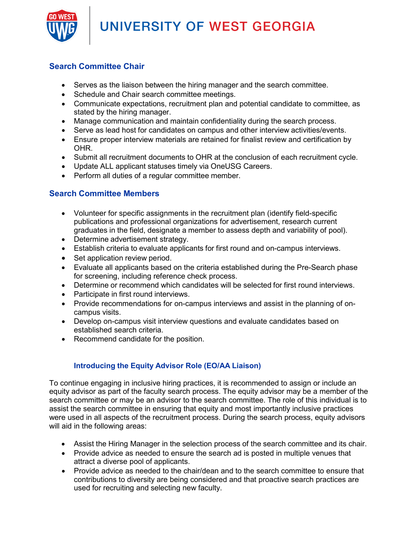UNIVERSITY OF WEST GEORGIA



### **Search Committee Chair**

- Serves as the liaison between the hiring manager and the search committee.
- Schedule and Chair search committee meetings.
- Communicate expectations, recruitment plan and potential candidate to committee, as stated by the hiring manager.
- Manage communication and maintain confidentiality during the search process.
- Serve as lead host for candidates on campus and other interview activities/events.
- Ensure proper interview materials are retained for finalist review and certification by OHR.
- Submit all recruitment documents to OHR at the conclusion of each recruitment cycle.
- Update ALL applicant statuses timely via OneUSG Careers.
- Perform all duties of a regular committee member.

#### **Search Committee Members**

- Volunteer for specific assignments in the recruitment plan (identify field-specific publications and professional organizations for advertisement, research current graduates in the field, designate a member to assess depth and variability of pool).
- Determine advertisement strategy.
- Establish criteria to evaluate applicants for first round and on-campus interviews.
- Set application review period.
- Evaluate all applicants based on the criteria established during the Pre-Search phase for screening, including reference check process.
- Determine or recommend which candidates will be selected for first round interviews.
- Participate in first round interviews.
- Provide recommendations for on-campus interviews and assist in the planning of oncampus visits.
- Develop on-campus visit interview questions and evaluate candidates based on established search criteria.
- Recommend candidate for the position.

#### **Introducing the Equity Advisor Role (EO/AA Liaison)**

To continue engaging in inclusive hiring practices, it is recommended to assign or include an equity advisor as part of the faculty search process. The equity advisor may be a member of the search committee or may be an advisor to the search committee. The role of this individual is to assist the search committee in ensuring that equity and most importantly inclusive practices were used in all aspects of the recruitment process. During the search process, equity advisors will aid in the following areas:

- Assist the Hiring Manager in the selection process of the search committee and its chair.
- Provide advice as needed to ensure the search ad is posted in multiple venues that attract a diverse pool of applicants.
- Provide advice as needed to the chair/dean and to the search committee to ensure that contributions to diversity are being considered and that proactive search practices are used for recruiting and selecting new faculty.